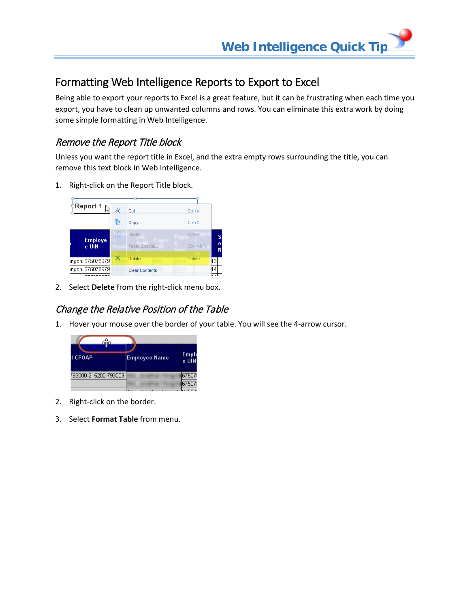## Formatting Web Intelligence Reports to Export to Excel

Being able to export your reports to Excel is a great feature, but it can be frustrating when each time you export, you have to clean up unwanted columns and rows. You can eliminate this extra work by doing some simple formatting in Web Intelligence.

## Remove the Report Title block

Unless you want the report title in Excel, and the extra empty rows surrounding the title, you can remove this text block in Web Intelligence.

1. Right-click on the Report Title block.



2. Select **Delete** from the right-click menu box.

## Change the Relative Position of the Table

1. Hover your mouse over the border of your table. You will see the 4-arrow cursor.



- 2. Right-click on the border.
- 3. Select **Format Table** from menu.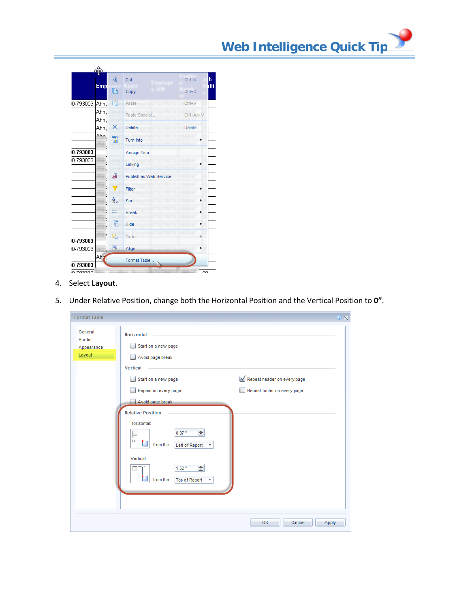

- 4. Select **Layout**.
- 5. Under Relative Position, change both the Horizontal Position and the Vertical Position to **0"**.

| <b>Format Table</b>                       |                                                                                                       |                             | $2 \times$ |
|-------------------------------------------|-------------------------------------------------------------------------------------------------------|-----------------------------|------------|
| General<br>Border<br>Appearance<br>Layout | Horizontal<br>Start on a new page<br>Avoid page break                                                 |                             |            |
|                                           | <b>Vertical</b>                                                                                       |                             |            |
|                                           | Start on a new page                                                                                   | Repeat header on every page |            |
|                                           | Repeat on every page                                                                                  | Repeat footer on every page |            |
|                                           | Avoid page break                                                                                      |                             |            |
|                                           | <b>Relative Position</b><br>Horizontal:<br>슾<br>0.07"<br>from the<br>Left of Report<br>▼<br>Vertical: |                             |            |
|                                           | ÷<br>1.52 <sup>m</sup><br>from the<br><b>Top of Report</b><br>▼                                       |                             |            |
|                                           |                                                                                                       | OK<br>Cancel<br>Apply       |            |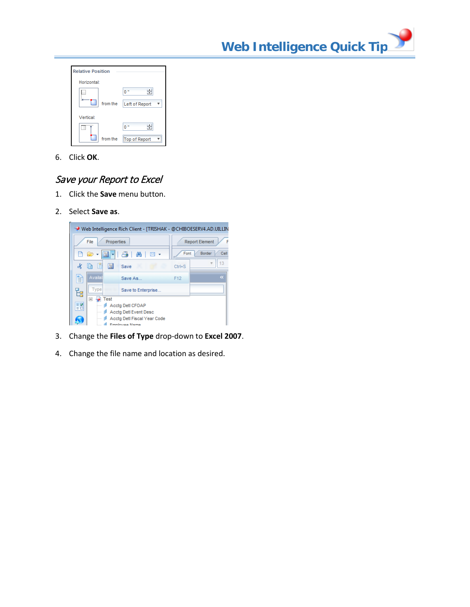**Web Intelligence Quick Tip**



6. Click **OK**.

## Save your Report to Excel

- 1. Click the **Save** menu button.
- 2. Select **Save as**.



- 3. Change the **Files of Type** drop-down to **Excel 2007**.
- 4. Change the file name and location as desired.